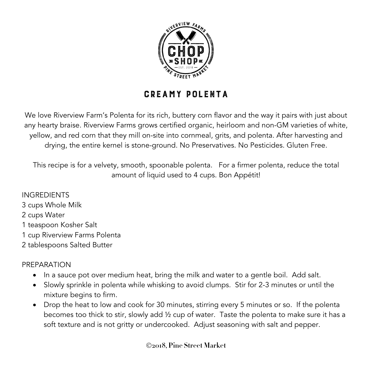

## Creamy Polenta

We love Riverview Farm's Polenta for its rich, buttery corn flavor and the way it pairs with just about any hearty braise. Riverview Farms grows certified organic, heirloom and non-GM varieties of white, yellow, and red corn that they mill on-site into cornmeal, grits, and polenta. After harvesting and drying, the entire kernel is stone-ground. No Preservatives. No Pesticides. Gluten Free.

This recipe is for a velvety, smooth, spoonable polenta. For a firmer polenta, reduce the total amount of liquid used to 4 cups. Bon Appétit!

INGREDIENTS cups Whole Milk cups Water teaspoon Kosher Salt cup Riverview Farms Polenta tablespoons Salted Butter

## PREPARATION

- In a sauce pot over medium heat, bring the milk and water to a gentle boil. Add salt.
- Slowly sprinkle in polenta while whisking to avoid clumps. Stir for 2-3 minutes or until the mixture begins to firm.
- Drop the heat to low and cook for 30 minutes, stirring every 5 minutes or so. If the polenta becomes too thick to stir, slowly add ½ cup of water. Taste the polenta to make sure it has a soft texture and is not gritty or undercooked. Adjust seasoning with salt and pepper.

Ó**2018, Pine Street Market**